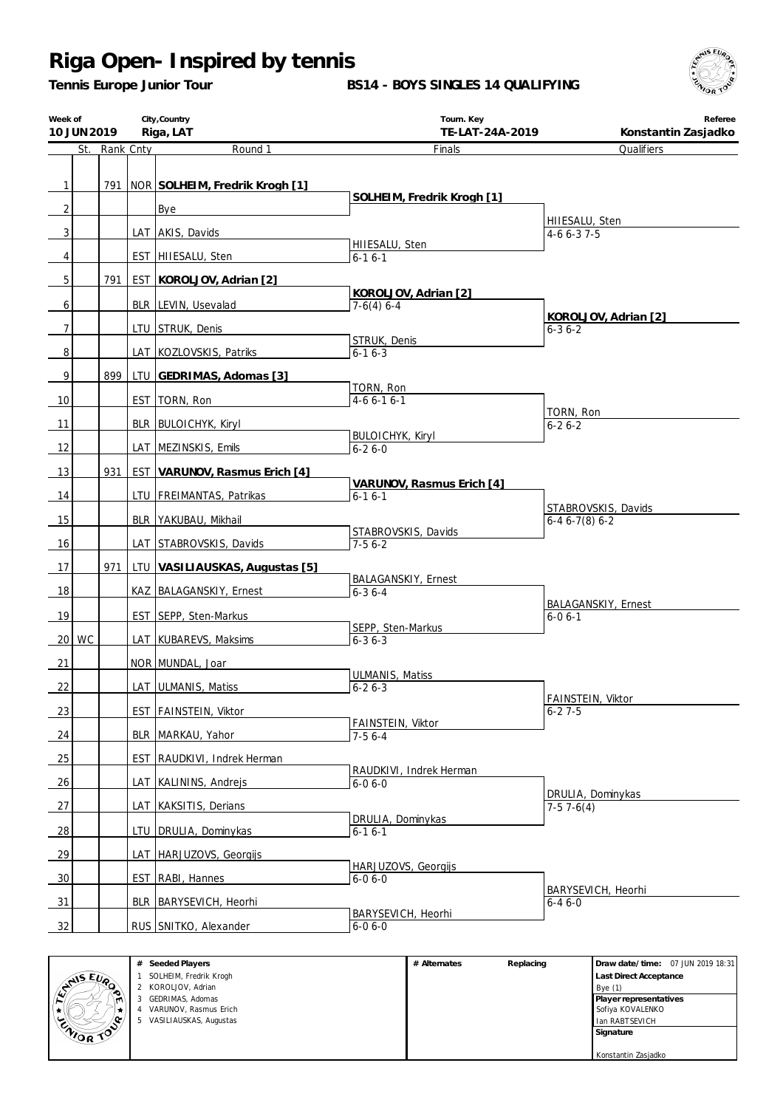*Tennis Europe Junior Tour*

**BS14 - BOYS SINGLES 14 QUALIFYING**



| Week of        | 10 JUN 2019 |               |            | City, Country<br>Riga, LAT         | Tourn. Key<br>TE-LAT-24A-2019         | Referee<br>Konstantin Zasjadko             |
|----------------|-------------|---------------|------------|------------------------------------|---------------------------------------|--------------------------------------------|
|                |             | St. Rank Cnty |            | Round 1                            | Finals                                | Qualifiers                                 |
| $\mathbf{1}$   |             |               |            |                                    |                                       |                                            |
|                |             |               |            | 791 NOR SOLHEIM, Fredrik Krogh [1] | SOLHEIM, Fredrik Krogh [1]            |                                            |
| 2              |             |               |            | Bye                                |                                       | HIIESALU, Sten                             |
| 3              |             |               |            | LAT AKIS, Davids                   | HIIESALU, Sten                        | $4-66-37-5$                                |
| 4              |             |               |            | EST   HIIESALU, Sten               | $6-16-1$                              |                                            |
| 5              |             | 791           |            | EST KOROLJOV, Adrian [2]           |                                       |                                            |
|                |             |               |            | BLR LEVIN, Usevalad                | KOROLJOV, Adrian [2]                  |                                            |
| 6              |             |               |            |                                    | $7-6(4)$ 6-4                          | KOROLJOV, Adrian [2]                       |
| $\overline{7}$ |             |               |            | LTU STRUK, Denis                   | STRUK, Denis                          | 6-3 6-2                                    |
| 8              |             |               |            | LAT   KOZLOVSKIS, Patriks          | $6 - 16 - 3$                          |                                            |
| 9              |             | 899           |            | LTU GEDRIMAS, Adomas [3]           |                                       |                                            |
| 10             |             |               |            | EST   TORN, Ron                    | TORN, Ron<br>$4-66-16-1$              |                                            |
|                |             |               |            |                                    |                                       | TORN, Ron                                  |
| 11             |             |               |            | BLR BULOICHYK, Kiryl               | <b>BULOICHYK, Kiryl</b>               | $6 - 26 - 2$                               |
| 12             |             |               |            | LAT MEZINSKIS, Emils               | $6 - 26 - 0$                          |                                            |
| 13             |             | 931           |            | EST   VARUNOV, Rasmus Erich [4]    |                                       |                                            |
| 14             |             |               |            | LTU   FREIMANTAS, Patrikas         | VARUNOV, Rasmus Erich [4]<br>$6-16-1$ |                                            |
| 15             |             |               |            | BLR   YAKUBAU, Mikhail             |                                       | STABROVSKIS, Davids<br>$6-46-7(8)6-2$      |
|                |             |               |            |                                    | STABROVSKIS, Davids                   |                                            |
| 16             |             |               |            | LAT STABROVSKIS, Davids            | $7-56-2$                              |                                            |
| 17             |             | 971           |            | LTU VASILIAUSKAS, Augustas [5]     | <b>BALAGANSKIY, Ernest</b>            |                                            |
| 18             |             |               |            | KAZ   BALAGANSKIY, Ernest          | $6 - 36 - 4$                          |                                            |
| 19             |             |               |            | EST SEPP, Sten-Markus              |                                       | <b>BALAGANSKIY, Ernest</b><br>$6 - 06 - 1$ |
|                | $20$ WC     |               |            | LAT KUBAREVS, Maksims              | SEPP, Sten-Markus<br>$6 - 36 - 3$     |                                            |
|                |             |               |            |                                    |                                       |                                            |
| 21             |             |               |            | NOR MUNDAL, Joar                   | <b>ULMANIS, Matiss</b>                |                                            |
| 22             |             |               |            | LAT ULMANIS, Matiss                | $6 - 26 - 3$                          | FAINSTEIN, Viktor                          |
| 23             |             |               |            | EST FAINSTEIN, Viktor              |                                       | $6 - 27 - 5$                               |
| 24             |             |               |            | BLR_MARKAU, Yahor                  | FAINSTEIN, Viktor<br>$7-56-4$         |                                            |
| 25             |             |               | <b>EST</b> | RAUDKIVI, Indrek Herman            |                                       |                                            |
|                |             |               |            |                                    | RAUDKIVI, Indrek Herman               |                                            |
| 26             |             |               |            | LAT   KALININS, Andrejs            | $6 - 06 - 0$                          | DRULIA, Dominykas                          |
| 27             |             |               |            | LAT   KAKSITIS, Derians            | DRULIA, Dominykas                     | $7-57-6(4)$                                |
| <u>28</u>      |             |               |            | LTU   DRULIA, Dominykas            | $6 - 16 - 1$                          |                                            |
| 29             |             |               |            | LAT   HARJUZOVS, Georgijs          |                                       |                                            |
| 30             |             |               |            | EST   RABI, Hannes                 | HARJUZOVS, Georgijs<br>$6 - 06 - 0$   |                                            |
|                |             |               |            |                                    |                                       | BARYSEVICH, Heorhi                         |
| 31             |             |               |            | BLR   BARYSEVICH, Heorhi           | BARYSEVICH, Heorhi                    | $6 - 46 - 0$                               |
| 32             |             |               |            | RUS SNITKO, Alexander              | $6 - 06 - 0$                          |                                            |

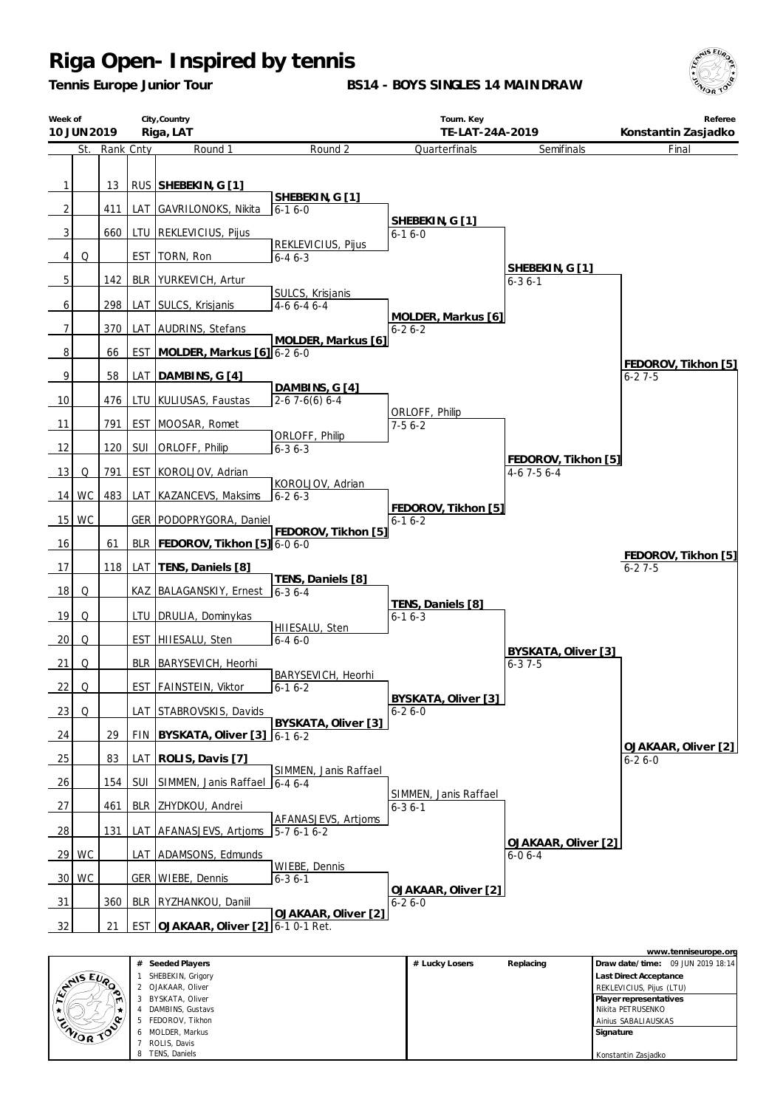*Tennis Europe Junior Tour*

**BS14 - BOYS SINGLES 14 MAINDRAW**



|                 | City, Country<br>Week of<br>Riga, LAT<br>10 JUN 2019 |           |            | Tourn. Key<br>TE-LAT-24A-2019     |                                       |                                       | Referee<br>Konstantin Zasjadko             |                                     |
|-----------------|------------------------------------------------------|-----------|------------|-----------------------------------|---------------------------------------|---------------------------------------|--------------------------------------------|-------------------------------------|
|                 | St.                                                  | Rank Cnty |            | Round 1                           | Round 2                               | Quarterfinals                         | Semifinals                                 | Final                               |
| 1               |                                                      | 13        |            | RUS SHEBEKIN, G [1]               | SHEBEKIN, G [1]                       |                                       |                                            |                                     |
| 2               |                                                      | 411       | LAT        | GAVRILONOKS, Nikita               | $6 - 16 - 0$                          |                                       |                                            |                                     |
| 3               |                                                      | 660       |            | LTU   REKLEVICIUS, Pijus          |                                       | SHEBEKIN, G [1]<br>$6 - 16 - 0$       |                                            |                                     |
| 4               | Q                                                    |           | <b>EST</b> | TORN, Ron                         | REKLEVICIUS, Pijus<br>$6 - 46 - 3$    |                                       |                                            |                                     |
| 5               |                                                      | 142       |            | BLR   YURKEVICH, Artur            |                                       |                                       | SHEBEKIN, G [1]<br>$6 - 36 - 1$            |                                     |
| 6               |                                                      | 298       |            | LAT SULCS, Krisjanis              | SULCS, Krisjanis<br>4-6 6-4 6-4       |                                       |                                            |                                     |
| 7               |                                                      | 370       |            | LAT AUDRINS, Stefans              |                                       | MOLDER, Markus [6]<br>$6 - 26 - 2$    |                                            |                                     |
| 8               |                                                      | 66        | <b>EST</b> | MOLDER, Markus [6] 6-2 6-0        | MOLDER, Markus [6]                    |                                       |                                            |                                     |
| 9               |                                                      | 58        | LAT        | DAMBINS, G [4]                    |                                       |                                       |                                            | FEDOROV, Tikhon [5]<br>$6 - 27 - 5$ |
| 10              |                                                      | 476       | LTU        | KULIUSAS, Faustas                 | DAMBINS, G [4]<br>$2-67-6(6)6-4$      |                                       |                                            |                                     |
| 11              |                                                      | 791       | <b>EST</b> | MOOSAR, Romet                     |                                       | ORLOFF, Philip<br>$7-56-2$            |                                            |                                     |
| 12              |                                                      | 120       | <b>SUI</b> | ORLOFF, Philip                    | ORLOFF, Philip<br>$6 - 36 - 3$        |                                       |                                            |                                     |
| 13              | Q                                                    | 791       | <b>EST</b> | KOROLJOV, Adrian                  |                                       |                                       | FEDOROV, Tikhon [5]<br>$4-6$ 7 $-5$ 6 $-4$ |                                     |
|                 | $14$ WC                                              | 483       | LAT        | KAZANCEVS, Maksims                | KOROLJOV, Adrian<br>$6 - 26 - 3$      |                                       |                                            |                                     |
| 15              | <b>WC</b>                                            |           |            | GER   PODOPRYGORA, Daniel         |                                       | FEDOROV, Tikhon [5]<br>$6 - 16 - 2$   |                                            |                                     |
| 16              |                                                      | 61        |            | BLR   FEDOROV, Tikhon [5] 6-0 6-0 | FEDOROV, Tikhon [5]                   |                                       |                                            |                                     |
| 17              |                                                      | 118       |            | LAT   TENS, Daniels [8]           |                                       |                                       |                                            | FEDOROV, Tikhon [5]<br>$6 - 27 - 5$ |
| 18              | Q                                                    |           |            | KAZ   BALAGANSKIY, Ernest         | TENS, Daniels [8]<br>$6 - 36 - 4$     |                                       |                                            |                                     |
| 19              | Q                                                    |           |            | LTU   DRULIA, Dominykas           |                                       | TENS, Daniels [8]<br>$6 - 16 - 3$     |                                            |                                     |
| 20              | Q                                                    |           |            | EST HIIESALU, Sten                | HIIESALU, Sten<br>$6 - 46 - 0$        |                                       |                                            |                                     |
| 21              | Q                                                    |           |            | BLR   BARYSEVICH, Heorhi          |                                       |                                       | BYSKATA, Oliver [3]<br>$6 - 37 - 5$        |                                     |
| 22              | Q                                                    |           |            | EST   FAINSTEIN, Viktor           | BARYSEVICH, Heorhi<br>$6 - 16 - 2$    |                                       |                                            |                                     |
| 23              | Q                                                    |           |            | LAT STABROVSKIS, Davids           |                                       | BYSKATA, Oliver [3]<br>$6 - 26 - 0$   |                                            |                                     |
| 24              |                                                      | 29        | <b>FIN</b> | BYSKATA, Oliver [3]               | BYSKATA, Oliver [3]<br>$6 - 16 - 2$   |                                       |                                            |                                     |
| 25              |                                                      | 83        | LAT        | ROLIS, Davis [7]                  |                                       |                                       |                                            | OJAKAAR, Oliver [2]<br>$6 - 26 - 0$ |
| 26              |                                                      | 154       | <b>SUI</b> | SIMMEN, Janis Raffael             | SIMMEN, Janis Raffael<br>$6 - 46 - 4$ |                                       |                                            |                                     |
| 27              |                                                      | 461       | <b>BLR</b> | ZHYDKOU, Andrei                   |                                       | SIMMEN, Janis Raffael<br>$6 - 36 - 1$ |                                            |                                     |
| 28              |                                                      | 131       | LAT        | AFANASJEVS, Artioms               | AFANASJEVS, Artjoms<br>$5-76-16-2$    |                                       |                                            |                                     |
|                 | 29 WC                                                |           |            | LAT   ADAMSONS, Edmunds           |                                       |                                       | OJAKAAR, Oliver [2]<br>$6 - 06 - 4$        |                                     |
| 30 <sup>1</sup> | WC                                                   |           |            | GER   WIEBE, Dennis               | WIEBE, Dennis<br>$6 - 36 - 1$         |                                       |                                            |                                     |
| 31              |                                                      | 360       |            | BLR   RYZHANKOU, Daniil           |                                       | OJAKAAR, Oliver [2]<br>$6 - 26 - 0$   |                                            |                                     |
| 32              |                                                      | 21        |            | EST OJAKAAR, Oliver [2]           | OJAKAAR, Oliver [2]<br>6-1 0-1 Ret.   |                                       |                                            |                                     |

|                  |                       |                |           | www.tenniseurope.org              |
|------------------|-----------------------|----------------|-----------|-----------------------------------|
|                  | Seeded Players<br>#   | # Lucky Losers | Replacing | Draw date/time: 09 JUN 2019 18:14 |
|                  | SHEBEKIN, Grigory     |                |           | <b>Last Direct Acceptance</b>     |
| LANS EVA         | 2 OJAKAAR, Oliver     |                |           | REKLEVICIUS, Pijus (LTU)          |
| ۱m.              | BYSKATA, Oliver<br>3  |                |           | Player representatives            |
|                  | DAMBINS, Gustavs      |                |           | Nikita PETRUSENKO                 |
| <b>ENIOR TOP</b> | FEDOROV, Tikhon<br>.5 |                |           | Ainius SABALIAUSKAS               |
|                  | MOLDER, Markus<br>6   |                |           | Signature                         |
|                  | ROLIS, Davis          |                |           |                                   |
|                  | TENS, Daniels<br>8    |                |           | Konstantin Zasjadko               |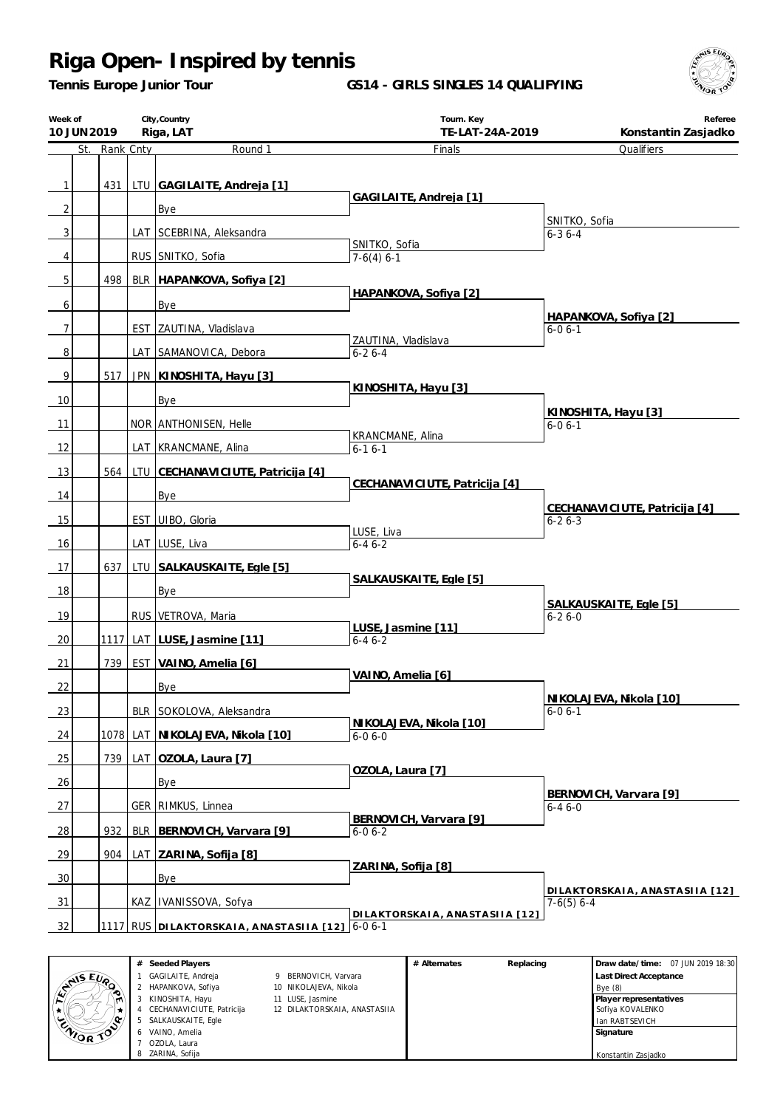*Tennis Europe Junior Tour*

**GS14 - GIRLS SINGLES 14 QUALIFYING**



|                | City, Country<br>Week of<br>10 JUN 2019<br>Riga, LAT |               |     |                                         | Tourn. Key<br>TE-LAT-24A-2019          | Referee<br>Konstantin Zasjadko           |  |
|----------------|------------------------------------------------------|---------------|-----|-----------------------------------------|----------------------------------------|------------------------------------------|--|
|                |                                                      | St. Rank Cnty |     | Round 1                                 | Finals                                 | Qualifiers                               |  |
|                |                                                      |               |     |                                         |                                        |                                          |  |
| 1              |                                                      | 431           |     | LTU GAGILAITE, Andreja [1]              |                                        |                                          |  |
| $\overline{2}$ |                                                      |               |     | Bye                                     | GAGILAITE, Andreja [1]                 |                                          |  |
| 3              |                                                      |               |     | LAT SCEBRINA, Aleksandra                |                                        | SNITKO, Sofia<br>$6 - 36 - 4$            |  |
|                |                                                      |               |     |                                         | SNITKO, Sofia                          |                                          |  |
| 4              |                                                      |               |     | RUS SNITKO, Sofia                       | $7-6(4)$ 6-1                           |                                          |  |
| 5              |                                                      | 498           |     | BLR HAPANKOVA, Sofiya [2]               | HAPANKOVA, Sofiya [2]                  |                                          |  |
| 6              |                                                      |               |     | Bye                                     |                                        |                                          |  |
| $\overline{7}$ |                                                      |               |     | EST ZAUTINA, Vladislava                 |                                        | HAPANKOVA, Sofiya [2]<br>$6 - 06 - 1$    |  |
| 8              |                                                      |               |     | LAT SAMANOVICA, Debora                  | ZAUTINA, Vladislava<br>$6 - 26 - 4$    |                                          |  |
| 9              |                                                      | 517           |     | JPN   KINOSHITA, Hayu [3]               |                                        |                                          |  |
|                |                                                      |               |     |                                         | KINOSHITA, Hayu [3]                    |                                          |  |
| 10             |                                                      |               |     | Bye                                     |                                        | KINOSHITA, Hayu [3]                      |  |
| 11             |                                                      |               |     | NOR ANTHONISEN, Helle                   | KRANCMANE, Alina                       | $6 - 06 - 1$                             |  |
| 12             |                                                      |               |     | LAT KRANCMANE, Alina                    | $6 - 16 - 1$                           |                                          |  |
| 13             |                                                      | 564           |     | LTU CECHANAVICIUTE, Patricija [4]       |                                        |                                          |  |
| 14             |                                                      |               |     | Bye                                     | CECHANAVICIUTE, Patricija [4]          |                                          |  |
|                |                                                      |               |     |                                         |                                        | CECHANAVICIUTE, Patricija [4]            |  |
| 15             |                                                      |               |     | EST UIBO, Gloria                        | LUSE, Liva                             | $6 - 26 - 3$                             |  |
| 16             |                                                      |               |     | LAT LUSE, Liva                          | $6 - 46 - 2$                           |                                          |  |
| 17             |                                                      | 637           |     | LTU SALKAUSKAITE, Egle [5]              |                                        |                                          |  |
| 18             |                                                      |               |     | Bye                                     | SALKAUSKAITE, Egle [5]                 |                                          |  |
| 19             |                                                      |               |     | RUS VETROVA, Maria                      |                                        | SALKAUSKAITE, Egle [5]<br>$6 - 26 - 0$   |  |
|                |                                                      |               |     |                                         | LUSE, Jasmine [11]                     |                                          |  |
| 20             |                                                      | 1117          |     | LAT LUSE, Jasmine [11]                  | $6 - 46 - 2$                           |                                          |  |
| 21             |                                                      | 739           |     | <b>EST VAINO, Amelia [6]</b>            | VAINO, Amelia [6]                      |                                          |  |
| 22             |                                                      |               |     | Bye                                     |                                        |                                          |  |
| 23             |                                                      |               |     | BLR SOKOLOVA, Aleksandra                |                                        | NI KOLAJEVA, Nikola [10]<br>$6 - 06 - 1$ |  |
| 24             |                                                      | 1078          | LAT | NIKOLAJEVA, Nikola [10]                 | NIKOLAJEVA, Nikola [10]<br>$6-06-0$    |                                          |  |
|                |                                                      |               |     |                                         |                                        |                                          |  |
| 25             |                                                      | 739           | LAT | OZOLA, Laura [7]                        | OZOLA, Laura [7]                       |                                          |  |
| 26             |                                                      |               |     | Bye                                     |                                        | BERNOVICH, Varvara [9]                   |  |
| 27             |                                                      |               |     | GER   RIMKUS, Linnea                    |                                        | $6 - 46 - 0$                             |  |
| <u>28</u>      |                                                      | 932           |     | BLR   BERNOVICH, Varvara [9]            | BERNOVICH, Varvara [9]<br>$6 - 06 - 2$ |                                          |  |
| <u>29</u>      |                                                      | 904           |     | LAT ZARINA, Sofija [8]                  |                                        |                                          |  |
|                |                                                      |               |     |                                         | ZARINA, Sofija [8]                     |                                          |  |
| 30             |                                                      |               |     | <b>Bye</b>                              |                                        | DILAKTORSKAIA, ANASTASIIA [12]           |  |
| 31             |                                                      |               |     | KAZ   IVANISSOVA, Sofya                 | DILAKTORSKAIA, ANASTASIIA [12]         | $7-6(5) 6-4$                             |  |
| 32             |                                                      |               |     | 1117 RUS DILAKTORSKAIA, ANASTASIIA [12] | $6 - 06 - 1$                           |                                          |  |

|                              | # | Seeded Players            |                              | # Alternates | Replacing | Draw date/time: 07 JUN 2019 18:30 |  |
|------------------------------|---|---------------------------|------------------------------|--------------|-----------|-----------------------------------|--|
| AIS EVA                      |   | GAGILAITE, Andreja        | BERNOVICH, Varvara           |              |           | <b>Last Direct Acceptance</b>     |  |
| œ                            |   | HAPANKOVA, Sofiya         | 10 NIKOLAJEVA, Nikola        |              |           | Bye $(8)$                         |  |
| m                            |   | KINOSHITA, Hayu           | 11 LUSE, Jasmine             |              |           | Player representatives            |  |
|                              |   | CECHANAVICIUTE, Patricija | 12 DILAKTORSKAIA, ANASTASIIA |              |           | Sofiya KOVALENKO                  |  |
| o                            |   | SALKAUSKAITE, Egle        |                              |              |           | Ian RABTSEVICH                    |  |
| <b>ENOR</b><br>$\mathcal{L}$ |   | VAINO, Amelia             |                              |              |           | Signature                         |  |
|                              |   | OZOLA, Laura              |                              |              |           |                                   |  |
|                              |   | ZARINA, Sofija            |                              |              |           | Konstantin Zasjadko               |  |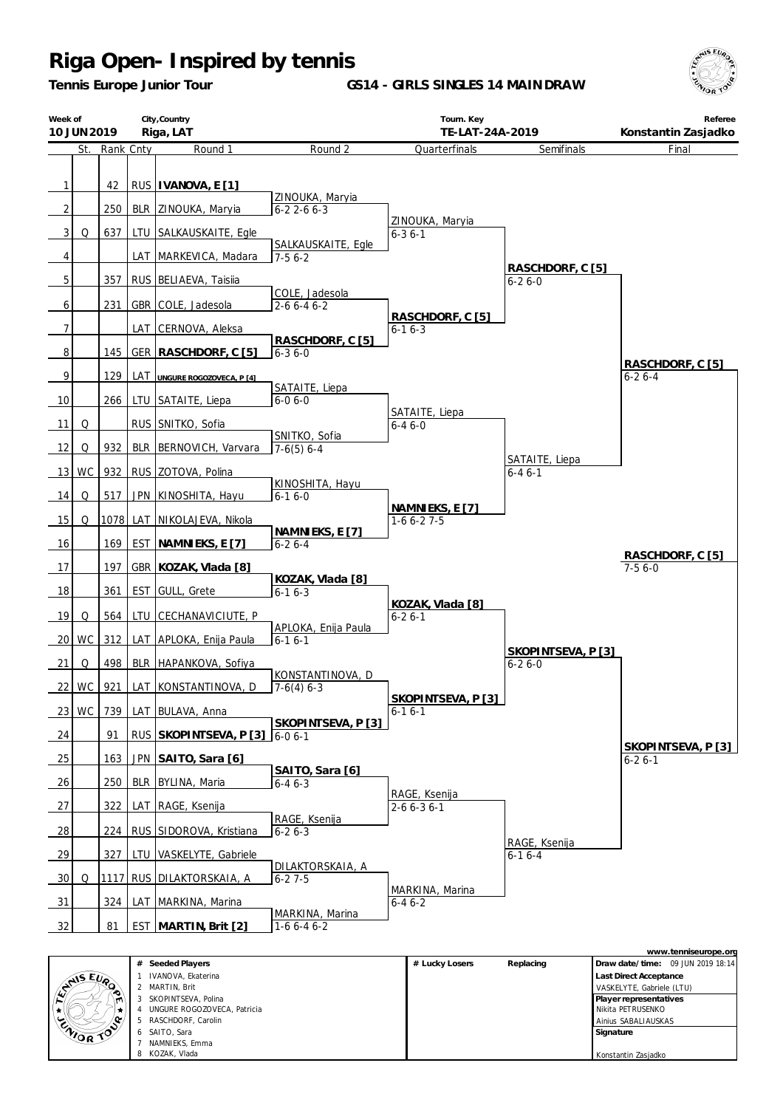*Tennis Europe Junior Tour*

**GS14 - GIRLS SINGLES 14 MAINDRAW**



|                     | City, Country<br>Week of<br>Riga, LAT<br>10 JUN 2019 |               |                   | Tourn. Key<br>TE-LAT-24A-2019                  |                                     |                                   | Referee<br>Konstantin Zasjadko     |                    |
|---------------------|------------------------------------------------------|---------------|-------------------|------------------------------------------------|-------------------------------------|-----------------------------------|------------------------------------|--------------------|
|                     |                                                      | St. Rank Cnty |                   | Round 1                                        | Round 2                             | Quarterfinals                     | Semifinals                         | Final              |
| 1<br>$\overline{2}$ |                                                      | 42<br>250     |                   | RUS   IVANOVA, E [1]                           | ZINOUKA, Maryia                     |                                   |                                    |                    |
| 3 <sup>1</sup>      | Q                                                    | 637           |                   | BLR ZINOUKA, Maryia<br>LTU SALKAUSKAITE, Egle  | $6 - 22 - 66 - 3$                   | ZINOUKA, Maryia<br>$6 - 36 - 1$   |                                    |                    |
| 4                   |                                                      |               |                   | LAT MARKEVICA, Madara                          | SALKAUSKAITE, Egle<br>$7-56-2$      |                                   |                                    |                    |
| 5                   |                                                      | 357           |                   | RUS   BELIAEVA, Taisiia                        |                                     |                                   | RASCHDORF, C [5]<br>$6 - 26 - 0$   |                    |
| 6                   |                                                      | 231           |                   | GBR COLE, Jadesola                             | COLE, Jadesola<br>$2 - 66 - 46 - 2$ | RASCHDORF, C [5]                  |                                    |                    |
| $\overline{7}$      |                                                      |               | LAT               | CERNOVA, Aleksa                                | RASCHDORF, C [5]                    | $6 - 16 - 3$                      |                                    |                    |
| 8                   |                                                      | 145           | <b>GER</b>        | RASCHDORF, C [5]                               | $6 - 36 - 0$                        |                                   |                                    | RASCHDORF, C [5]   |
| 9                   |                                                      | 129           | LAT               | UNGURE ROGOZOVECA, P [4]                       | SATAITE, Liepa                      |                                   |                                    | $6-26-4$           |
| 10<br>11            | Q                                                    | 266           | LTU<br><b>RUS</b> | SATAITE, Liepa<br>SNITKO, Sofia                | $6 - 06 - 0$                        | SATAITE, Liepa<br>$6 - 46 - 0$    |                                    |                    |
| 12                  | Q                                                    | 932           | <b>BLR</b>        | BERNOVICH, Varvara                             | SNITKO, Sofia<br>$7-6(5) 6-4$       |                                   |                                    |                    |
| 13                  | <b>WC</b>                                            | 932           |                   | RUS ZOTOVA, Polina                             |                                     |                                   | SATAITE, Liepa<br>$6 - 46 - 1$     |                    |
| 14                  | Q                                                    | 517           | <b>JPN</b>        | KINOSHITA, Hayu                                | KINOSHITA, Hayu<br>$6 - 16 - 0$     |                                   |                                    |                    |
| 15                  | Q                                                    | 1078          | LAT               | NIKOLAJEVA, Nikola                             | NAMNIEKS, E [7]                     | NAMNIEKS, E [7]<br>$1-66-27-5$    |                                    |                    |
| 16                  |                                                      | 169           | <b>EST</b>        | NAMNIEKS, E [7]                                | $6 - 26 - 4$                        |                                   |                                    | RASCHDORF, C [5]   |
| 17                  |                                                      | 197           |                   | GBR   KOZAK, Vlada [8]                         | KOZAK, Vlada [8]                    |                                   |                                    | $7-56-0$           |
| 18                  |                                                      | 361           | <b>EST</b>        | GULL, Grete                                    | $6 - 16 - 3$                        | KOZAK, Vlada [8]                  |                                    |                    |
| 19<br>20            | Q<br>WC                                              | 564<br>312    | LTU               | CECHANAVICIUTE, P<br>LAT APLOKA, Enija Paula   | APLOKA, Enija Paula<br>$6 - 16 - 1$ | $6 - 26 - 1$                      |                                    |                    |
| 21                  | Q                                                    | 498           |                   | BLR   HAPANKOVA, Sofiya                        |                                     |                                   | SKOPINTSEVA, P [3]<br>$6 - 26 - 0$ |                    |
|                     | 22 WC                                                | 921           |                   | LAT KONSTANTINOVA, D                           | KONSTANTINOVA, D<br>$7-6(4)$ 6-3    |                                   |                                    |                    |
|                     | $23$ WC                                              | 739           | LAT               | BULAVA, Anna                                   |                                     | SKOPINTSEVA, P[3]<br>$6 - 16 - 1$ |                                    |                    |
| 24                  |                                                      | 91            |                   | RUS SKOPINTSEVA, P [3]                         | SKOPINTSEVA, P [3]<br>$6 - 06 - 1$  |                                   |                                    | SKOPINTSEVA, P [3] |
| 25                  |                                                      | 163           |                   | JPN SAITO, Sara [6]                            | SAITO, Sara [6]                     |                                   |                                    | $6 - 26 - 1$       |
| 26                  |                                                      | 250           | <b>BLR</b>        | BYLINA, Maria                                  | $6 - 46 - 3$                        | RAGE, Ksenija                     |                                    |                    |
| 27                  |                                                      | 322           | LAT               | RAGE, Ksenija                                  | RAGE, Ksenija                       | $2 - 6 6 - 3 6 - 1$               |                                    |                    |
| 28<br>29            |                                                      | 224<br>327    | LTU               | RUS SIDOROVA, Kristiana<br>VASKELYTE, Gabriele | $6 - 26 - 3$                        |                                   | RAGE, Ksenija<br>$6 - 16 - 4$      |                    |
| 30                  | Q                                                    | 1117          |                   | RUS DILAKTORSKAIA, A                           | DILAKTORSKAIA, A<br>$6 - 27 - 5$    |                                   |                                    |                    |
| 31                  |                                                      | 324           | LAT               | MARKINA, Marina                                |                                     | MARKINA, Marina<br>$6 - 46 - 2$   |                                    |                    |
| 32                  |                                                      | 81            |                   | <b>EST MARTIN, Brit [2]</b>                    | MARKINA, Marina<br>$1-66-46-2$      |                                   |                                    |                    |

|                    |   |                             |                |           |                                   | www.tenniseurope.org |
|--------------------|---|-----------------------------|----------------|-----------|-----------------------------------|----------------------|
|                    | # | Seeded Players              | # Lucky Losers | Replacing | Draw date/time: 09 JUN 2019 18:14 |                      |
|                    |   | IVANOVA, Ekaterina          |                |           | <b>Last Direct Acceptance</b>     |                      |
| $x^{\text{NIS E}}$ |   | MARTIN, Brit                |                |           | VASKELYTE, Gabriele (LTU)         |                      |
| m                  |   | SKOPINTSEVA, Polina         |                |           | Player representatives            |                      |
|                    |   | UNGURE ROGOZOVECA, Patricia |                |           | Nikita PETRUSENKO                 |                      |
| ENIOR TOP          |   | 5 RASCHDORF, Carolin        |                |           | Ainius SABALIAUSKAS               |                      |
|                    |   | 6 SAITO, Sara               |                |           | Signature                         |                      |
|                    |   | NAMNIEKS, Emma              |                |           |                                   |                      |
|                    |   | KOZAK, Vlada                |                |           | Konstantin Zasjadko               |                      |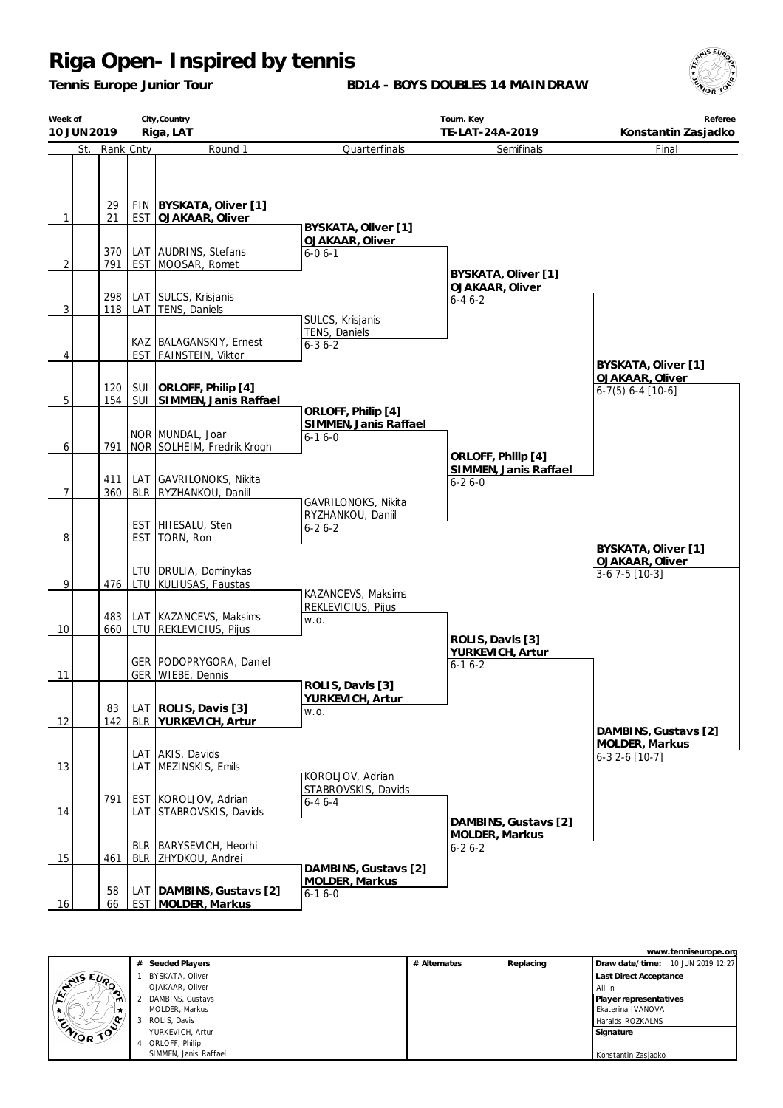*Tennis Europe Junior Tour*

**BD14 - BOYS DOUBLES 14 MAINDRAW**



| Week of<br>10 JUN 2019 |               |            | City, Country<br>Riga, LAT                  |                                             | Referee<br>Konstantin Zasjadko         |                                               |
|------------------------|---------------|------------|---------------------------------------------|---------------------------------------------|----------------------------------------|-----------------------------------------------|
|                        | St. Rank Cnty |            | Round 1                                     | Quarterfinals                               | TE-LAT-24A-2019<br>Semifinals          | Final                                         |
|                        | 29            |            | FIN   BYSKATA, Oliver [1]                   |                                             |                                        |                                               |
| 1                      | 21            | <b>EST</b> | OJAKAAR, Oliver                             | BYSKATA, Oliver [1]                         |                                        |                                               |
|                        |               |            |                                             | OJAKAAR, Oliver                             |                                        |                                               |
|                        | 370<br>791    |            | LAT AUDRINS, Stefans<br>EST MOOSAR, Romet   | $6 - 06 - 1$                                |                                        |                                               |
| 2                      |               |            |                                             |                                             | BYSKATA, Oliver [1]                    |                                               |
|                        | 298           |            |                                             |                                             | <b>OJAKAAR, Oliver</b>                 |                                               |
| 3                      | 118           |            | LAT SULCS, Krisjanis<br>LAT   TENS, Daniels |                                             | $6 - 46 - 2$                           |                                               |
|                        |               |            |                                             | SULCS, Krisjanis                            |                                        |                                               |
|                        |               |            | KAZ   BALAGANSKIY, Ernest                   | TENS, Daniels<br>$6 - 36 - 2$               |                                        |                                               |
| 4                      |               |            | EST FAINSTEIN, Viktor                       |                                             |                                        |                                               |
|                        |               |            |                                             |                                             |                                        | BYSKATA, Oliver [1]                           |
|                        | 120           | SUI        | ORLOFF, Philip [4]                          |                                             |                                        | <b>OJAKAAR, Oliver</b><br>$6-7(5) 6-4 [10-6]$ |
| $\overline{5}$         | 154           |            | SUI SIMMEN, Janis Raffael                   |                                             |                                        |                                               |
|                        |               |            |                                             | ORLOFF, Philip [4]<br>SIMMEN, Janis Raffael |                                        |                                               |
|                        |               |            | NOR MUNDAL, Joar                            | $6 - 16 - 0$                                |                                        |                                               |
| 6                      | 791           |            | NOR SOLHEIM, Fredrik Krogh                  |                                             | ORLOFF, Philip [4]                     |                                               |
|                        |               |            |                                             |                                             | SIMMEN, Janis Raffael                  |                                               |
|                        | 411           |            | LAT GAVRILONOKS, Nikita                     |                                             | $6 - 26 - 0$                           |                                               |
| 7                      | 360           |            | BLR   RYZHANKOU, Daniil                     | GAVRILONOKS, Nikita                         |                                        |                                               |
|                        |               |            |                                             | RYZHANKOU, Daniil                           |                                        |                                               |
| 8                      |               | <b>EST</b> | EST HIIESALU, Sten<br>TORN, Ron             | $6 - 26 - 2$                                |                                        |                                               |
|                        |               |            |                                             |                                             |                                        | BYSKATA, Oliver [1]                           |
|                        |               |            | LTU   DRULIA, Dominykas                     |                                             |                                        | OJAKAAR, Oliver<br>$3-67-5$ [10-3]            |
| 9                      | 476           | LTU        | KULIUSAS, Faustas                           |                                             |                                        |                                               |
|                        |               |            |                                             | KAZANCEVS, Maksims<br>REKLEVICIUS, Pijus    |                                        |                                               |
|                        | 483           |            | LAT   KAZANCEVS, Maksims                    | W.O.                                        |                                        |                                               |
| 10                     | 660           |            | LTU REKLEVICIUS, Pijus                      |                                             | ROLIS, Davis [3]                       |                                               |
|                        |               |            |                                             |                                             | YURKEVICH, Artur                       |                                               |
|                        |               |            | GER   PODOPRYGORA, Daniel                   |                                             | $6 - 16 - 2$                           |                                               |
| 11                     |               |            | GER WIEBE, Dennis                           | ROLIS, Davis [3]                            |                                        |                                               |
|                        |               |            |                                             | YURKEVICH, Artur                            |                                        |                                               |
| 12                     | 83<br>142     | BLR        | LAT ROLIS, Davis [3]<br>YURKEVICH, Artur    | W.O.                                        |                                        |                                               |
|                        |               |            |                                             |                                             |                                        | DAMBINS, Gustavs [2]                          |
|                        |               |            | LAT AKIS, Davids                            |                                             |                                        | MOLDER, Markus                                |
| 13                     |               | LAT        | MEZINSKIS, Emils                            |                                             |                                        | $6-32-6$ [10-7]                               |
|                        |               |            |                                             | KOROLJOV, Adrian                            |                                        |                                               |
|                        | 791           |            | EST KOROLJOV, Adrian                        | STABROVSKIS, Davids<br>$6 - 46 - 4$         |                                        |                                               |
| 14                     |               | LAT        | STABROVSKIS, Davids                         |                                             |                                        |                                               |
|                        |               |            |                                             |                                             | DAMBINS, Gustavs [2]<br>MOLDER, Markus |                                               |
|                        |               | <b>BLR</b> | BARYSEVICH, Heorhi                          |                                             | $6 - 26 - 2$                           |                                               |
| 15                     | 461           |            | BLR ZHYDKOU, Andrei                         | DAMBINS, Gustavs [2]                        |                                        |                                               |
|                        |               |            |                                             | MOLDER, Markus                              |                                        |                                               |
|                        | 58            |            | LAT   DAMBINS, Gustavs [2]                  | $6 - 16 - 0$                                |                                        |                                               |
| 16                     | 66            |            | <b>EST MOLDER, Markus</b>                   |                                             |                                        |                                               |